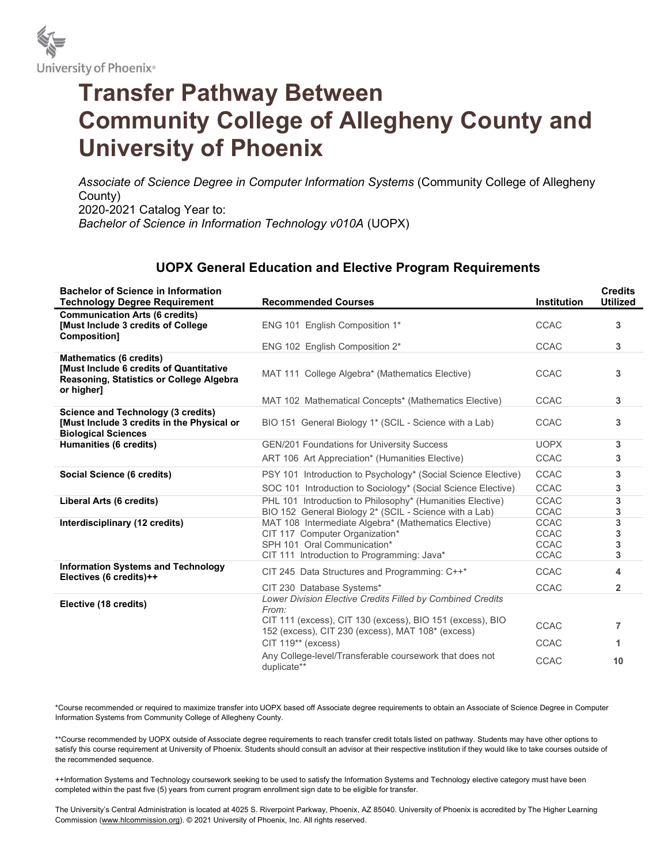

## Transfer Pathway Between Community College of Allegheny County and University of Phoenix

Associate of Science Degree in Computer Information Systems (Community College of Allegheny County) 2020-2021 Catalog Year to: Bachelor of Science in Information Technology v010A (UOPX)

## UOPX General Education and Elective Program Requirements

| <b>Bachelor of Science in Information</b><br><b>Technology Degree Requirement</b>                                                   | <b>Recommended Courses</b>                                                                                                                                                            | <b>Institution</b>                                       | <b>Credits</b><br><b>Utilized</b> |
|-------------------------------------------------------------------------------------------------------------------------------------|---------------------------------------------------------------------------------------------------------------------------------------------------------------------------------------|----------------------------------------------------------|-----------------------------------|
| <b>Communication Arts (6 credits)</b><br><b>[Must Include 3 credits of College</b><br><b>Composition1</b>                           | ENG 101 English Composition 1*                                                                                                                                                        | <b>CCAC</b>                                              | 3                                 |
|                                                                                                                                     | ENG 102 English Composition 2*                                                                                                                                                        | <b>CCAC</b>                                              | 3                                 |
| <b>Mathematics (6 credits)</b><br>[Must Include 6 credits of Quantitative<br>Reasoning, Statistics or College Algebra<br>or higher] | MAT 111 College Algebra* (Mathematics Elective)                                                                                                                                       | <b>CCAC</b>                                              | 3                                 |
|                                                                                                                                     | MAT 102 Mathematical Concepts* (Mathematics Elective)                                                                                                                                 | <b>CCAC</b>                                              | 3                                 |
| <b>Science and Technology (3 credits)</b><br>[Must Include 3 credits in the Physical or<br><b>Biological Sciences</b>               | BIO 151 General Biology 1* (SCIL - Science with a Lab)                                                                                                                                | <b>CCAC</b>                                              | 3                                 |
| Humanities (6 credits)                                                                                                              | <b>GEN/201 Foundations for University Success</b>                                                                                                                                     | <b>UOPX</b>                                              | 3                                 |
|                                                                                                                                     | ART 106 Art Appreciation* (Humanities Elective)                                                                                                                                       | <b>CCAC</b>                                              | 3                                 |
| Social Science (6 credits)                                                                                                          | PSY 101 Introduction to Psychology* (Social Science Elective)                                                                                                                         | <b>CCAC</b>                                              | 3                                 |
|                                                                                                                                     | SOC 101 Introduction to Sociology* (Social Science Elective)                                                                                                                          | <b>CCAC</b>                                              | 3                                 |
| Liberal Arts (6 credits)                                                                                                            | PHL 101 Introduction to Philosophy* (Humanities Elective)<br>BIO 152 General Biology 2* (SCIL - Science with a Lab)                                                                   | <b>CCAC</b><br><b>CCAC</b>                               | 3<br>3                            |
| Interdisciplinary (12 credits)                                                                                                      | MAT 108 Intermediate Algebra* (Mathematics Elective)<br>CIT 117 Computer Organization*<br>SPH 101 Oral Communication*<br>CIT 111 Introduction to Programming: Java*                   | <b>CCAC</b><br><b>CCAC</b><br><b>CCAC</b><br><b>CCAC</b> | 3<br>3<br>3<br>3                  |
| <b>Information Systems and Technology</b><br>Electives (6 credits)++                                                                | CIT 245 Data Structures and Programming: C++*                                                                                                                                         | CCAC                                                     | 4                                 |
|                                                                                                                                     | CIT 230 Database Systems*                                                                                                                                                             | <b>CCAC</b>                                              | $\overline{2}$                    |
| Elective (18 credits)                                                                                                               | Lower Division Elective Credits Filled by Combined Credits<br>From:<br>CIT 111 (excess), CIT 130 (excess), BIO 151 (excess), BIO<br>152 (excess), CIT 230 (excess), MAT 108* (excess) | <b>CCAC</b>                                              | $\overline{7}$                    |
|                                                                                                                                     | CIT 119** (excess)                                                                                                                                                                    | <b>CCAC</b>                                              | 1                                 |
|                                                                                                                                     | Any College-level/Transferable coursework that does not<br>duplicate**                                                                                                                | <b>CCAC</b>                                              | 10                                |

\*Course recommended or required to maximize transfer into UOPX based off Associate degree requirements to obtain an Associate of Science Degree in Computer Information Systems from Community College of Allegheny County.

\*\*Course recommended by UOPX outside of Associate degree requirements to reach transfer credit totals listed on pathway. Students may have other options to satisfy this course requirement at University of Phoenix. Students should consult an advisor at their respective institution if they would like to take courses outside of the recommended sequence.

++Information Systems and Technology coursework seeking to be used to satisfy the Information Systems and Technology elective category must have been completed within the past five (5) years from current program enrollment sign date to be eligible for transfer.

The University's Central Administration is located at 4025 S. Riverpoint Parkway, Phoenix, AZ 85040. University of Phoenix is accredited by The Higher Learning Commission (www.hlcommission.org). © 2021 University of Phoenix, Inc. All rights reserved.